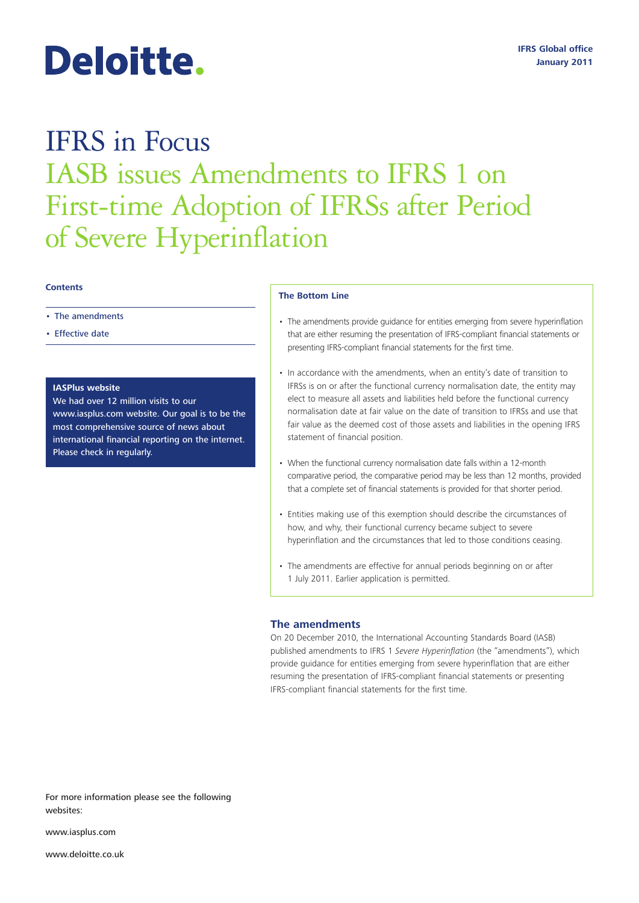# Deloitte.

## IFRS in Focus IASB issues Amendments to IFRS 1 on First-time Adoption of IFRSs after Period of Severe Hyperinflation

#### **Contents**

- The amendments
- Effective date

#### **IASPlus website**

We had over 12 million visits to our www.iasplus.com website. Our goal is to be the most comprehensive source of news about international financial reporting on the internet. Please check in regularly.

#### **The Bottom Line**

- The amendments provide guidance for entities emerging from severe hyperinflation that are either resuming the presentation of IFRS-compliant financial statements or presenting IFRS-compliant financial statements for the first time.
- In accordance with the amendments, when an entity's date of transition to IFRSs is on or after the functional currency normalisation date, the entity may elect to measure all assets and liabilities held before the functional currency normalisation date at fair value on the date of transition to IFRSs and use that fair value as the deemed cost of those assets and liabilities in the opening IFRS statement of financial position.
- When the functional currency normalisation date falls within a 12-month comparative period, the comparative period may be less than 12 months, provided that a complete set of financial statements is provided for that shorter period.
- Entities making use of this exemption should describe the circumstances of how, and why, their functional currency became subject to severe hyperinflation and the circumstances that led to those conditions ceasing.
- The amendments are effective for annual periods beginning on or after 1 July 2011. Earlier application is permitted.

#### **The amendments**

On 20 December 2010, the International Accounting Standards Board (IASB) published amendments to IFRS 1 *Severe Hyperinflation* (the "amendments"), which provide guidance for entities emerging from severe hyperinflation that are either resuming the presentation of IFRS-compliant financial statements or presenting IFRS-compliant financial statements for the first time.

For more information please see the following websites:

www.iasplus.com

www.deloitte.co.uk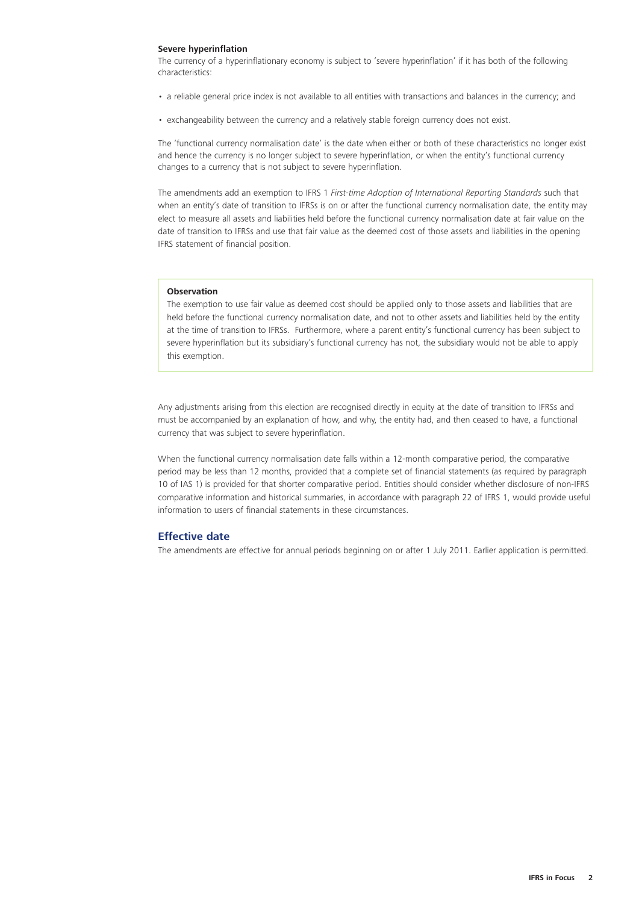#### **Severe hyperinflation**

The currency of a hyperinflationary economy is subject to 'severe hyperinflation' if it has both of the following characteristics:

- a reliable general price index is not available to all entities with transactions and balances in the currency; and
- exchangeability between the currency and a relatively stable foreign currency does not exist.

The 'functional currency normalisation date' is the date when either or both of these characteristics no longer exist and hence the currency is no longer subject to severe hyperinflation, or when the entity's functional currency changes to a currency that is not subject to severe hyperinflation.

The amendments add an exemption to IFRS 1 *First-time Adoption of International Reporting Standards* such that when an entity's date of transition to IFRSs is on or after the functional currency normalisation date, the entity may elect to measure all assets and liabilities held before the functional currency normalisation date at fair value on the date of transition to IFRSs and use that fair value as the deemed cost of those assets and liabilities in the opening IFRS statement of financial position.

#### **Observation**

The exemption to use fair value as deemed cost should be applied only to those assets and liabilities that are held before the functional currency normalisation date, and not to other assets and liabilities held by the entity at the time of transition to IFRSs. Furthermore, where a parent entity's functional currency has been subject to severe hyperinflation but its subsidiary's functional currency has not, the subsidiary would not be able to apply this exemption.

Any adjustments arising from this election are recognised directly in equity at the date of transition to IFRSs and must be accompanied by an explanation of how, and why, the entity had, and then ceased to have, a functional currency that was subject to severe hyperinflation.

When the functional currency normalisation date falls within a 12-month comparative period, the comparative period may be less than 12 months, provided that a complete set of financial statements (as required by paragraph 10 of IAS 1) is provided for that shorter comparative period. Entities should consider whether disclosure of non-IFRS comparative information and historical summaries, in accordance with paragraph 22 of IFRS 1, would provide useful information to users of financial statements in these circumstances.

#### **Effective date**

The amendments are effective for annual periods beginning on or after 1 July 2011. Earlier application is permitted.